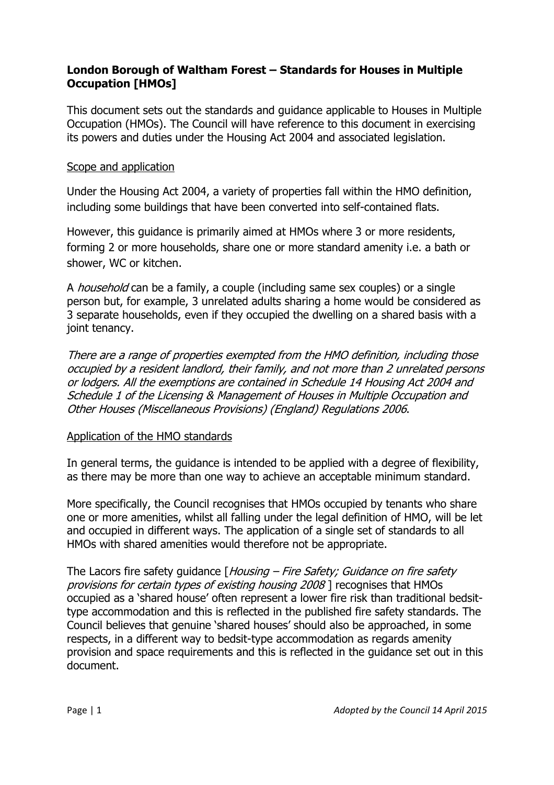# **London Borough of Waltham Forest – Standards for Houses in Multiple Occupation [HMOs]**

This document sets out the standards and guidance applicable to Houses in Multiple Occupation (HMOs). The Council will have reference to this document in exercising its powers and duties under the Housing Act 2004 and associated legislation.

# Scope and application

Under the Housing Act 2004, a variety of properties fall within the HMO definition, including some buildings that have been converted into self-contained flats.

However, this guidance is primarily aimed at HMOs where 3 or more residents, forming 2 or more households, share one or more standard amenity i.e. a bath or shower, WC or kitchen.

A household can be a family, a couple (including same sex couples) or a single person but, for example, 3 unrelated adults sharing a home would be considered as 3 separate households, even if they occupied the dwelling on a shared basis with a joint tenancy.

There are a range of properties exempted from the HMO definition, including those occupied by a resident landlord, their family, and not more than 2 unrelated persons or lodgers. All the exemptions are contained in Schedule 14 Housing Act 2004 and Schedule 1 of the Licensing & Management of Houses in Multiple Occupation and Other Houses (Miscellaneous Provisions) (England) Regulations 2006.

# Application of the HMO standards

In general terms, the guidance is intended to be applied with a degree of flexibility, as there may be more than one way to achieve an acceptable minimum standard.

More specifically, the Council recognises that HMOs occupied by tenants who share one or more amenities, whilst all falling under the legal definition of HMO, will be let and occupied in different ways. The application of a single set of standards to all HMOs with shared amenities would therefore not be appropriate.

The Lacors fire safety quidance  $\int$  Housing – Fire Safety; Guidance on fire safety provisions for certain types of existing housing 2008 ] recognises that HMOs occupied as a 'shared house' often represent a lower fire risk than traditional bedsittype accommodation and this is reflected in the published fire safety standards. The Council believes that genuine 'shared houses' should also be approached, in some respects, in a different way to bedsit-type accommodation as regards amenity provision and space requirements and this is reflected in the guidance set out in this document.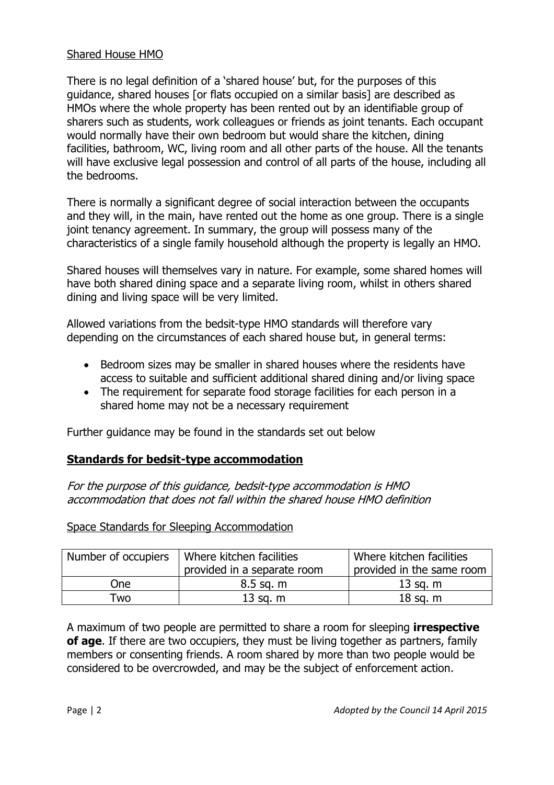# Shared House HMO

There is no legal definition of a 'shared house' but, for the purposes of this guidance, shared houses [or flats occupied on a similar basis] are described as HMOs where the whole property has been rented out by an identifiable group of sharers such as students, work colleagues or friends as joint tenants. Each occupant would normally have their own bedroom but would share the kitchen, dining facilities, bathroom, WC, living room and all other parts of the house. All the tenants will have exclusive legal possession and control of all parts of the house, including all the bedrooms.

There is normally a significant degree of social interaction between the occupants and they will, in the main, have rented out the home as one group. There is a single joint tenancy agreement. In summary, the group will possess many of the characteristics of a single family household although the property is legally an HMO.

Shared houses will themselves vary in nature. For example, some shared homes will have both shared dining space and a separate living room, whilst in others shared dining and living space will be very limited.

Allowed variations from the bedsit-type HMO standards will therefore vary depending on the circumstances of each shared house but, in general terms:

- Bedroom sizes may be smaller in shared houses where the residents have access to suitable and sufficient additional shared dining and/or living space
- The requirement for separate food storage facilities for each person in a shared home may not be a necessary requirement

Further guidance may be found in the standards set out below

# **Standards for bedsit-type accommodation**

For the purpose of this guidance, bedsit-type accommodation is HMO accommodation that does not fall within the shared house HMO definition

Space Standards for Sleeping Accommodation

| Number of occupiers | Where kitchen facilities<br>provided in a separate room | Where kitchen facilities<br>provided in the same room |
|---------------------|---------------------------------------------------------|-------------------------------------------------------|
| One                 | $8.5$ sq. m                                             | $13$ sq. m                                            |
| Гwо                 | $13$ sq. m                                              | $18$ sq. m                                            |

A maximum of two people are permitted to share a room for sleeping **irrespective of age**. If there are two occupiers, they must be living together as partners, family members or consenting friends. A room shared by more than two people would be considered to be overcrowded, and may be the subject of enforcement action.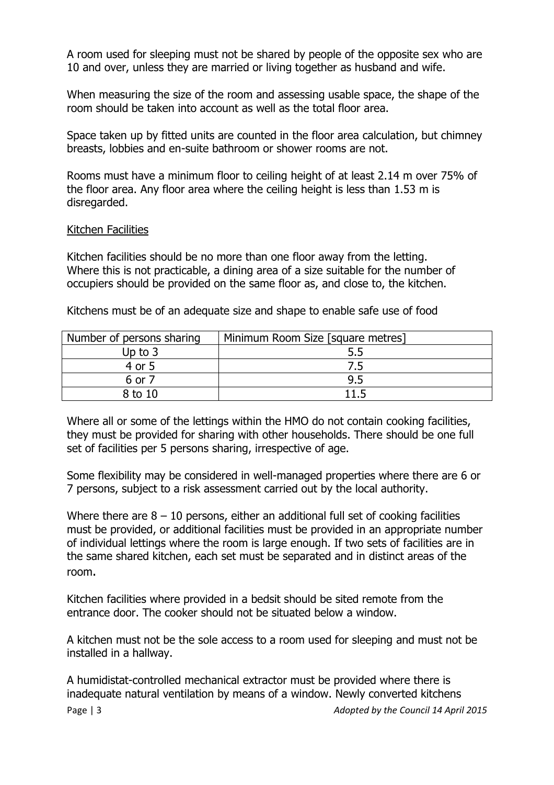A room used for sleeping must not be shared by people of the opposite sex who are 10 and over, unless they are married or living together as husband and wife.

When measuring the size of the room and assessing usable space, the shape of the room should be taken into account as well as the total floor area.

Space taken up by fitted units are counted in the floor area calculation, but chimney breasts, lobbies and en-suite bathroom or shower rooms are not.

Rooms must have a minimum floor to ceiling height of at least 2.14 m over 75% of the floor area. Any floor area where the ceiling height is less than 1.53 m is disregarded.

### Kitchen Facilities

Kitchen facilities should be no more than one floor away from the letting. Where this is not practicable, a dining area of a size suitable for the number of occupiers should be provided on the same floor as, and close to, the kitchen.

Kitchens must be of an adequate size and shape to enable safe use of food

| Number of persons sharing | Minimum Room Size [square metres] |
|---------------------------|-----------------------------------|
| Up to 3                   | 5.5                               |
| 4 or 5                    | 7.5                               |
| 6 or 7                    | 9.5                               |
| $8 \text{ to } 10$        | 11 5                              |

Where all or some of the lettings within the HMO do not contain cooking facilities, they must be provided for sharing with other households. There should be one full set of facilities per 5 persons sharing, irrespective of age.

Some flexibility may be considered in well-managed properties where there are 6 or 7 persons, subject to a risk assessment carried out by the local authority.

Where there are  $8 - 10$  persons, either an additional full set of cooking facilities must be provided, or additional facilities must be provided in an appropriate number of individual lettings where the room is large enough. If two sets of facilities are in the same shared kitchen, each set must be separated and in distinct areas of the room.

Kitchen facilities where provided in a bedsit should be sited remote from the entrance door. The cooker should not be situated below a window.

A kitchen must not be the sole access to a room used for sleeping and must not be installed in a hallway.

A humidistat-controlled mechanical extractor must be provided where there is inadequate natural ventilation by means of a window. Newly converted kitchens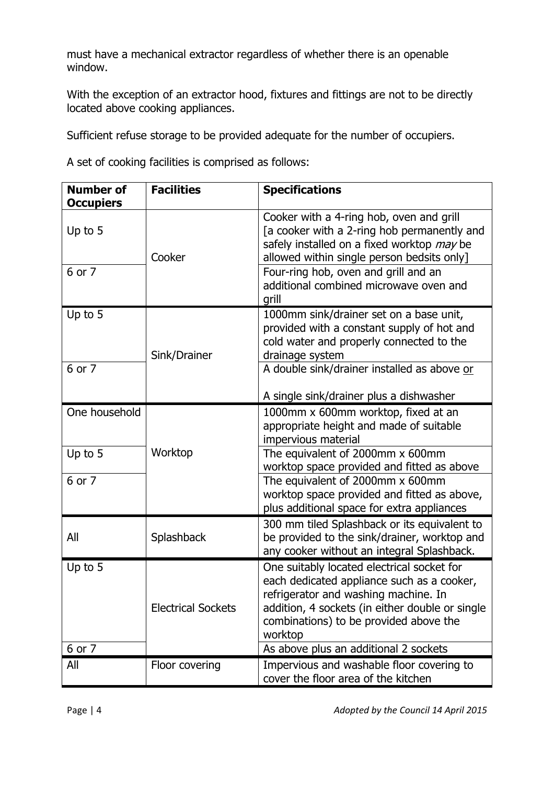must have a mechanical extractor regardless of whether there is an openable window.

With the exception of an extractor hood, fixtures and fittings are not to be directly located above cooking appliances.

Sufficient refuse storage to be provided adequate for the number of occupiers.

A set of cooking facilities is comprised as follows:

| <b>Number of</b> | <b>Facilities</b>         | <b>Specifications</b>                                                                                                                                                                                                                    |
|------------------|---------------------------|------------------------------------------------------------------------------------------------------------------------------------------------------------------------------------------------------------------------------------------|
| <b>Occupiers</b> |                           |                                                                                                                                                                                                                                          |
| Up to 5          | Cooker                    | Cooker with a 4-ring hob, oven and grill<br>[a cooker with a 2-ring hob permanently and<br>safely installed on a fixed worktop may be<br>allowed within single person bedsits only]                                                      |
| 6 or 7           |                           | Four-ring hob, oven and grill and an<br>additional combined microwave oven and<br>grill                                                                                                                                                  |
| Up to 5          | Sink/Drainer              | 1000mm sink/drainer set on a base unit,<br>provided with a constant supply of hot and<br>cold water and properly connected to the<br>drainage system                                                                                     |
| 6 or 7           |                           | A double sink/drainer installed as above or<br>A single sink/drainer plus a dishwasher                                                                                                                                                   |
| One household    |                           | 1000mm x 600mm worktop, fixed at an<br>appropriate height and made of suitable<br>impervious material                                                                                                                                    |
| Up to 5          | Worktop                   | The equivalent of 2000mm x 600mm<br>worktop space provided and fitted as above                                                                                                                                                           |
| 6 or 7           |                           | The equivalent of 2000mm x 600mm<br>worktop space provided and fitted as above,<br>plus additional space for extra appliances                                                                                                            |
| All              | Splashback                | 300 mm tiled Splashback or its equivalent to<br>be provided to the sink/drainer, worktop and<br>any cooker without an integral Splashback.                                                                                               |
| Up to 5          | <b>Electrical Sockets</b> | One suitably located electrical socket for<br>each dedicated appliance such as a cooker,<br>refrigerator and washing machine. In<br>addition, 4 sockets (in either double or single<br>combinations) to be provided above the<br>worktop |
| 6 or 7           |                           | As above plus an additional 2 sockets                                                                                                                                                                                                    |
| All              | Floor covering            | Impervious and washable floor covering to<br>cover the floor area of the kitchen                                                                                                                                                         |

Page | 4 *Adopted by the Council 14 April 2015*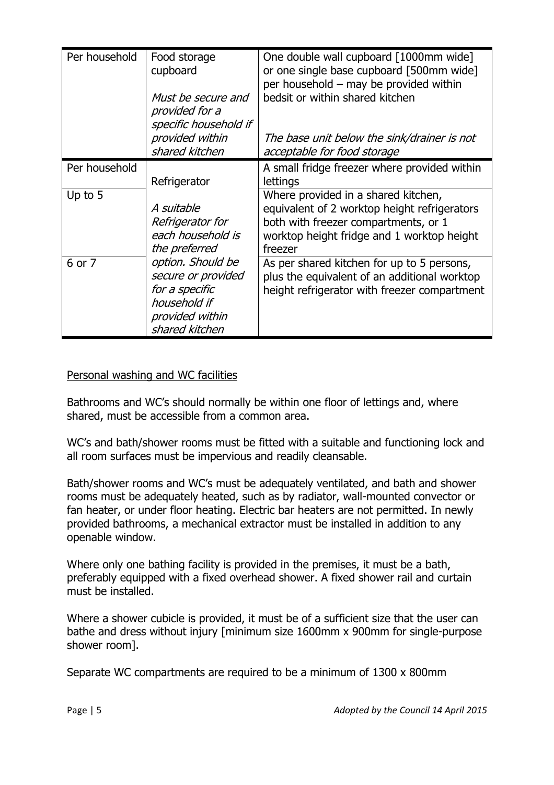| Per household | Food storage<br>cupboard<br>Must be secure and<br>provided for a<br>specific household if<br>provided within<br>shared kitchen | One double wall cupboard [1000mm wide]<br>or one single base cupboard [500mm wide]<br>per household - may be provided within<br>bedsit or within shared kitchen<br>The base unit below the sink/drainer is not<br>acceptable for food storage |
|---------------|--------------------------------------------------------------------------------------------------------------------------------|-----------------------------------------------------------------------------------------------------------------------------------------------------------------------------------------------------------------------------------------------|
| Per household | Refrigerator                                                                                                                   | A small fridge freezer where provided within<br>lettings                                                                                                                                                                                      |
| Up to 5       | A suitable<br>Refrigerator for<br>each household is<br>the preferred                                                           | Where provided in a shared kitchen,<br>equivalent of 2 worktop height refrigerators<br>both with freezer compartments, or 1<br>worktop height fridge and 1 worktop height<br>freezer                                                          |
| 6 or 7        | option. Should be<br>secure or provided<br>for a specific<br>household if<br>provided within<br>shared kitchen                 | As per shared kitchen for up to 5 persons,<br>plus the equivalent of an additional worktop<br>height refrigerator with freezer compartment                                                                                                    |

# Personal washing and WC facilities

Bathrooms and WC's should normally be within one floor of lettings and, where shared, must be accessible from a common area.

WC's and bath/shower rooms must be fitted with a suitable and functioning lock and all room surfaces must be impervious and readily cleansable.

Bath/shower rooms and WC's must be adequately ventilated, and bath and shower rooms must be adequately heated, such as by radiator, wall-mounted convector or fan heater, or under floor heating. Electric bar heaters are not permitted. In newly provided bathrooms, a mechanical extractor must be installed in addition to any openable window.

Where only one bathing facility is provided in the premises, it must be a bath, preferably equipped with a fixed overhead shower. A fixed shower rail and curtain must be installed.

Where a shower cubicle is provided, it must be of a sufficient size that the user can bathe and dress without injury [minimum size 1600mm x 900mm for single-purpose shower room].

Separate WC compartments are required to be a minimum of 1300 x 800mm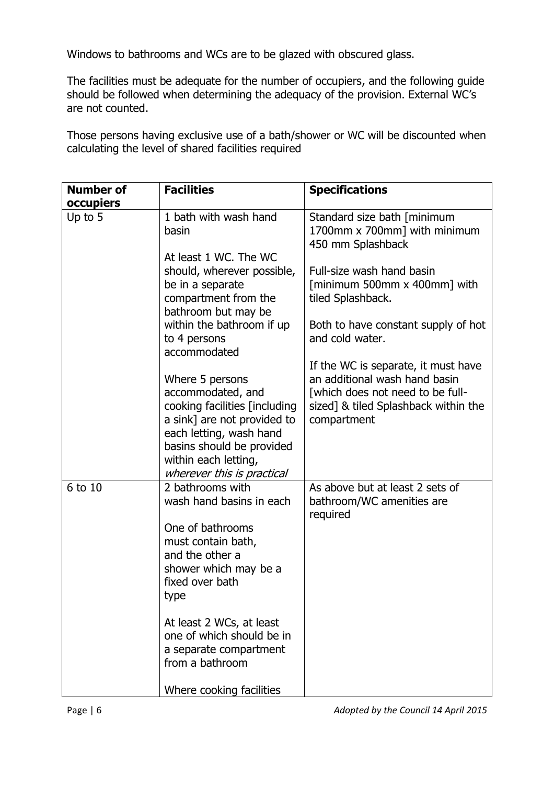Windows to bathrooms and WCs are to be glazed with obscured glass.

The facilities must be adequate for the number of occupiers, and the following guide should be followed when determining the adequacy of the provision. External WC's are not counted.

Those persons having exclusive use of a bath/shower or WC will be discounted when calculating the level of shared facilities required

| <b>Number of</b> | <b>Facilities</b>                                                                                                                                                                                                  | <b>Specifications</b>                                                                                                                                           |
|------------------|--------------------------------------------------------------------------------------------------------------------------------------------------------------------------------------------------------------------|-----------------------------------------------------------------------------------------------------------------------------------------------------------------|
| occupiers        |                                                                                                                                                                                                                    |                                                                                                                                                                 |
| Up to 5          | 1 bath with wash hand<br>basin                                                                                                                                                                                     | Standard size bath [minimum<br>1700mm x 700mm] with minimum<br>450 mm Splashback                                                                                |
|                  | At least 1 WC. The WC<br>should, wherever possible,<br>be in a separate<br>compartment from the<br>bathroom but may be<br>within the bathroom if up                                                                | Full-size wash hand basin<br>$\lceil$ minimum 500mm x 400mm $\rceil$ with<br>tiled Splashback.<br>Both to have constant supply of hot                           |
|                  | to 4 persons<br>accommodated                                                                                                                                                                                       | and cold water.                                                                                                                                                 |
|                  | Where 5 persons<br>accommodated, and<br>cooking facilities [including<br>a sink] are not provided to<br>each letting, wash hand<br>basins should be provided<br>within each letting,<br>wherever this is practical | If the WC is separate, it must have<br>an additional wash hand basin<br>[which does not need to be full-<br>sized] & tiled Splashback within the<br>compartment |
| 6 to 10          | 2 bathrooms with<br>wash hand basins in each<br>One of bathrooms<br>must contain bath,<br>and the other a<br>shower which may be a<br>fixed over bath<br>type                                                      | As above but at least 2 sets of<br>bathroom/WC amenities are<br>required                                                                                        |
|                  | At least 2 WCs, at least<br>one of which should be in<br>a separate compartment<br>from a bathroom<br>Where cooking facilities                                                                                     |                                                                                                                                                                 |

Page | 6 *Adopted by the Council 14 April 2015*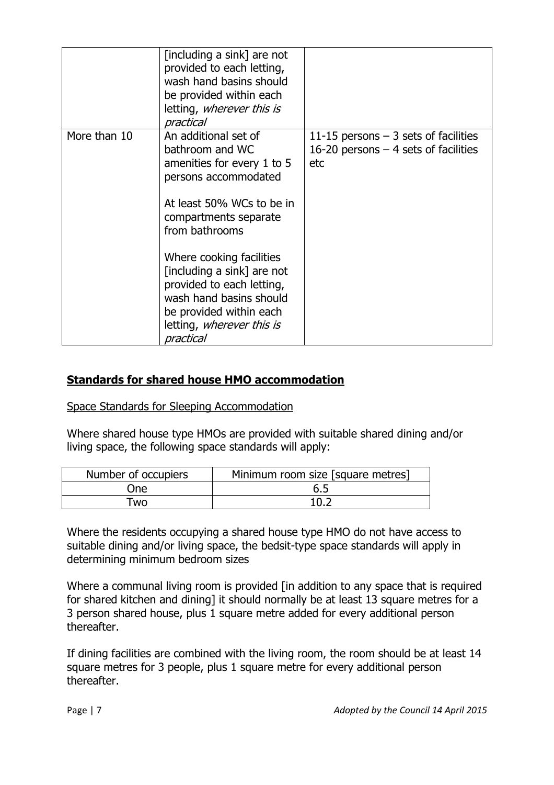|              | [including a sink] are not<br>provided to each letting,<br>wash hand basins should<br>be provided within each<br>letting, wherever this is<br>practical                                                                                                                                                                                                      |                                                                                       |
|--------------|--------------------------------------------------------------------------------------------------------------------------------------------------------------------------------------------------------------------------------------------------------------------------------------------------------------------------------------------------------------|---------------------------------------------------------------------------------------|
| More than 10 | An additional set of<br>bathroom and WC<br>amenities for every 1 to 5<br>persons accommodated<br>At least 50% WCs to be in<br>compartments separate<br>from bathrooms<br>Where cooking facilities<br>[including a sink] are not<br>provided to each letting,<br>wash hand basins should<br>be provided within each<br>letting, wherever this is<br>practical | 11-15 persons $-3$ sets of facilities<br>16-20 persons $-4$ sets of facilities<br>etc |

# **Standards for shared house HMO accommodation**

Space Standards for Sleeping Accommodation

Where shared house type HMOs are provided with suitable shared dining and/or living space, the following space standards will apply:

| Number of occupiers | Minimum room size [square metres] |
|---------------------|-----------------------------------|
| One                 | 6.5                               |
| Гwо                 |                                   |

Where the residents occupying a shared house type HMO do not have access to suitable dining and/or living space, the bedsit-type space standards will apply in determining minimum bedroom sizes

Where a communal living room is provided [in addition to any space that is required for shared kitchen and dining] it should normally be at least 13 square metres for a 3 person shared house, plus 1 square metre added for every additional person thereafter.

If dining facilities are combined with the living room, the room should be at least 14 square metres for 3 people, plus 1 square metre for every additional person thereafter.